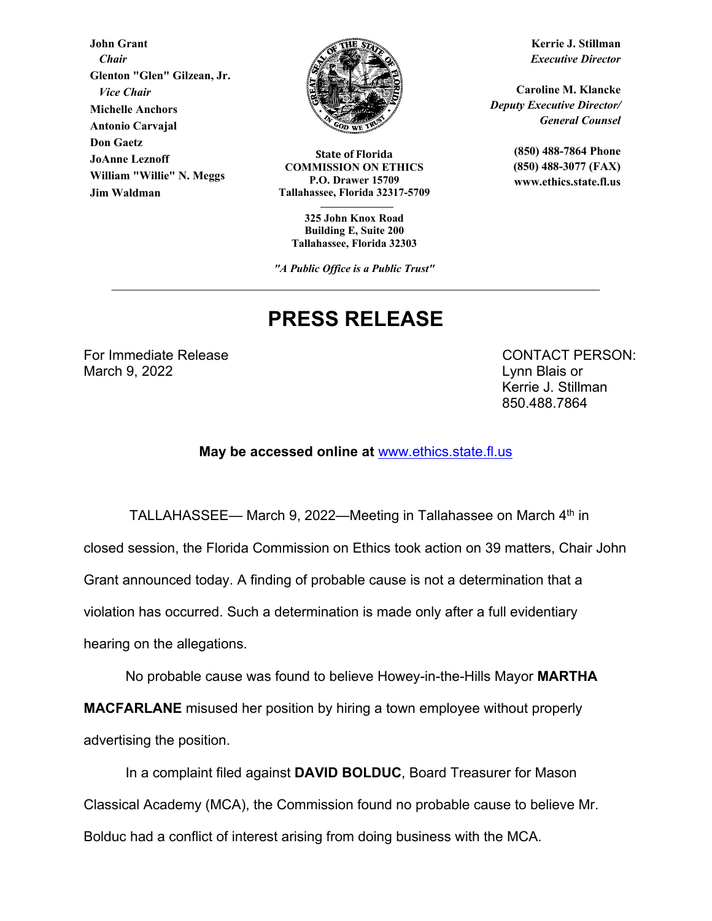**John Grant**  *Chair*  **Glenton "Glen" Gilzean, Jr.**   *Vice Chair* **Michelle Anchors Antonio Carvajal Don Gaetz JoAnne Leznoff William "Willie" N. Meggs Jim Waldman**



**State of Florida COMMISSION ON ETHICS P.O. Drawer 15709 Tallahassee, Florida 32317-5709** 

**325 John Knox Road Building E, Suite 200 Tallahassee, Florida 32303** 

*"A Public Office is a Public Trust"*

## **PRESS RELEASE**

For Immediate Release **CONTACT PERSON:** March 9, 2022 Lynn Blais or

Kerrie J. Stillman 850.488.7864

**May be accessed online at** www.ethics.state.fl.us

TALLAHASSEE— March 9, 2022—Meeting in Tallahassee on March 4<sup>th</sup> in

closed session, the Florida Commission on Ethics took action on 39 matters, Chair John

Grant announced today. A finding of probable cause is not a determination that a

violation has occurred. Such a determination is made only after a full evidentiary

hearing on the allegations.

No probable cause was found to believe Howey-in-the-Hills Mayor **MARTHA** 

**MACFARLANE** misused her position by hiring a town employee without properly advertising the position.

In a complaint filed against **DAVID BOLDUC**, Board Treasurer for Mason Classical Academy (MCA), the Commission found no probable cause to believe Mr. Bolduc had a conflict of interest arising from doing business with the MCA.

**Kerrie J. Stillman** *Executive Director* 

**Caroline M. Klancke**  *Deputy Executive Director/ General Counsel* 

> **(850) 488-7864 Phone (850) 488-3077 (FAX) www.ethics.state.fl.us**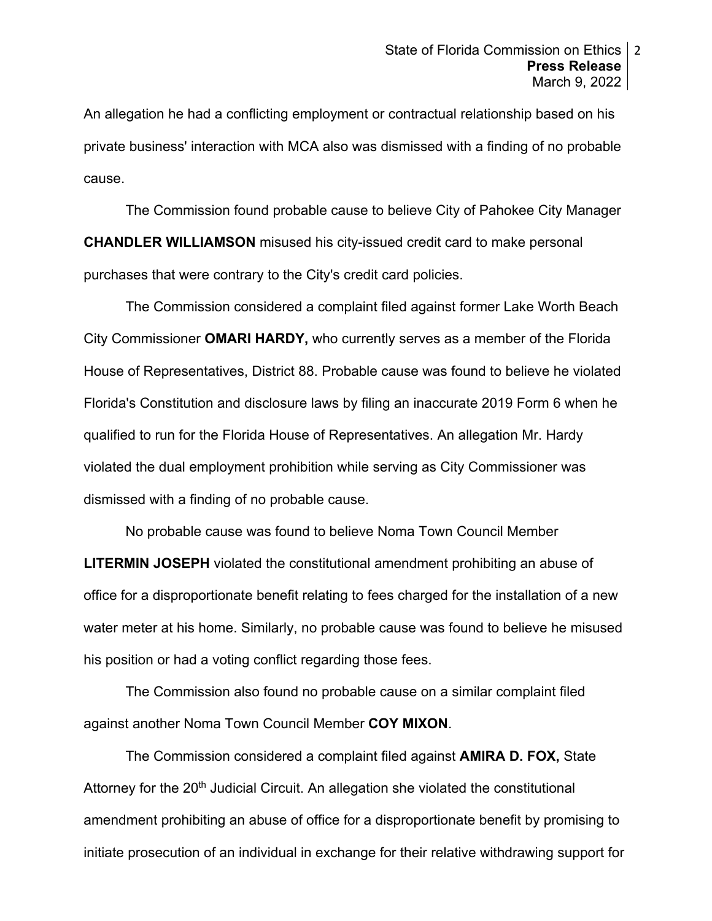An allegation he had a conflicting employment or contractual relationship based on his private business' interaction with MCA also was dismissed with a finding of no probable cause.

 The Commission found probable cause to believe City of Pahokee City Manager **CHANDLER WILLIAMSON** misused his city-issued credit card to make personal purchases that were contrary to the City's credit card policies.

The Commission considered a complaint filed against former Lake Worth Beach City Commissioner **OMARI HARDY,** who currently serves as a member of the Florida House of Representatives, District 88. Probable cause was found to believe he violated Florida's Constitution and disclosure laws by filing an inaccurate 2019 Form 6 when he qualified to run for the Florida House of Representatives. An allegation Mr. Hardy violated the dual employment prohibition while serving as City Commissioner was dismissed with a finding of no probable cause.

No probable cause was found to believe Noma Town Council Member **LITERMIN JOSEPH** violated the constitutional amendment prohibiting an abuse of office for a disproportionate benefit relating to fees charged for the installation of a new water meter at his home. Similarly, no probable cause was found to believe he misused his position or had a voting conflict regarding those fees.

 The Commission also found no probable cause on a similar complaint filed against another Noma Town Council Member **COY MIXON**.

The Commission considered a complaint filed against **AMIRA D. FOX,** State Attorney for the  $20<sup>th</sup>$  Judicial Circuit. An allegation she violated the constitutional amendment prohibiting an abuse of office for a disproportionate benefit by promising to initiate prosecution of an individual in exchange for their relative withdrawing support for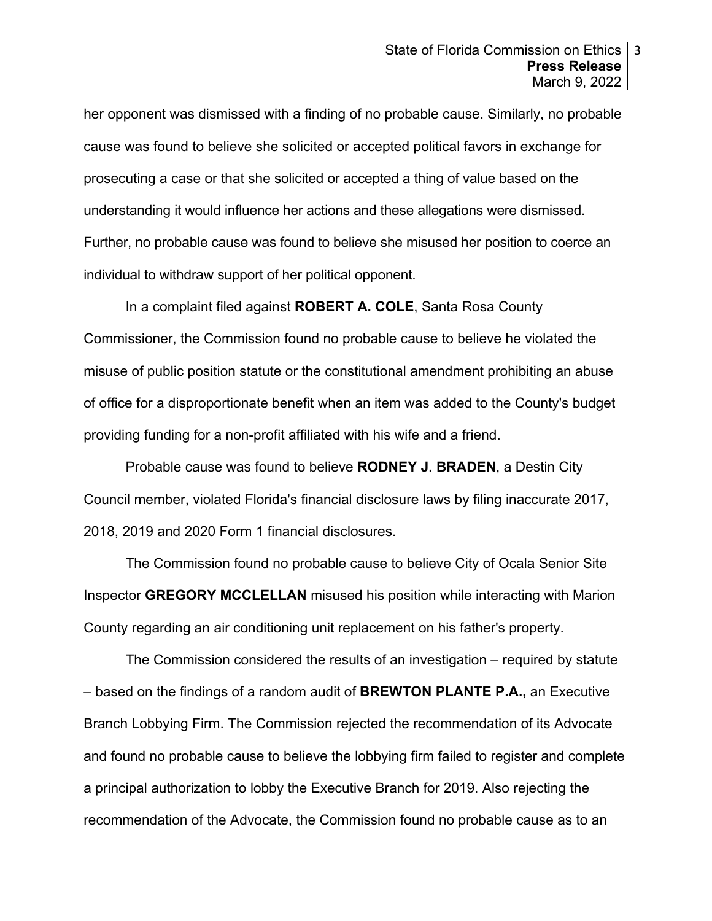her opponent was dismissed with a finding of no probable cause. Similarly, no probable cause was found to believe she solicited or accepted political favors in exchange for prosecuting a case or that she solicited or accepted a thing of value based on the understanding it would influence her actions and these allegations were dismissed. Further, no probable cause was found to believe she misused her position to coerce an individual to withdraw support of her political opponent.

In a complaint filed against **ROBERT A. COLE**, Santa Rosa County Commissioner, the Commission found no probable cause to believe he violated the misuse of public position statute or the constitutional amendment prohibiting an abuse of office for a disproportionate benefit when an item was added to the County's budget providing funding for a non-profit affiliated with his wife and a friend.

Probable cause was found to believe **RODNEY J. BRADEN**, a Destin City Council member, violated Florida's financial disclosure laws by filing inaccurate 2017, 2018, 2019 and 2020 Form 1 financial disclosures.

The Commission found no probable cause to believe City of Ocala Senior Site Inspector **GREGORY MCCLELLAN** misused his position while interacting with Marion County regarding an air conditioning unit replacement on his father's property.

The Commission considered the results of an investigation – required by statute – based on the findings of a random audit of **BREWTON PLANTE P.A.,** an Executive Branch Lobbying Firm. The Commission rejected the recommendation of its Advocate and found no probable cause to believe the lobbying firm failed to register and complete a principal authorization to lobby the Executive Branch for 2019. Also rejecting the recommendation of the Advocate, the Commission found no probable cause as to an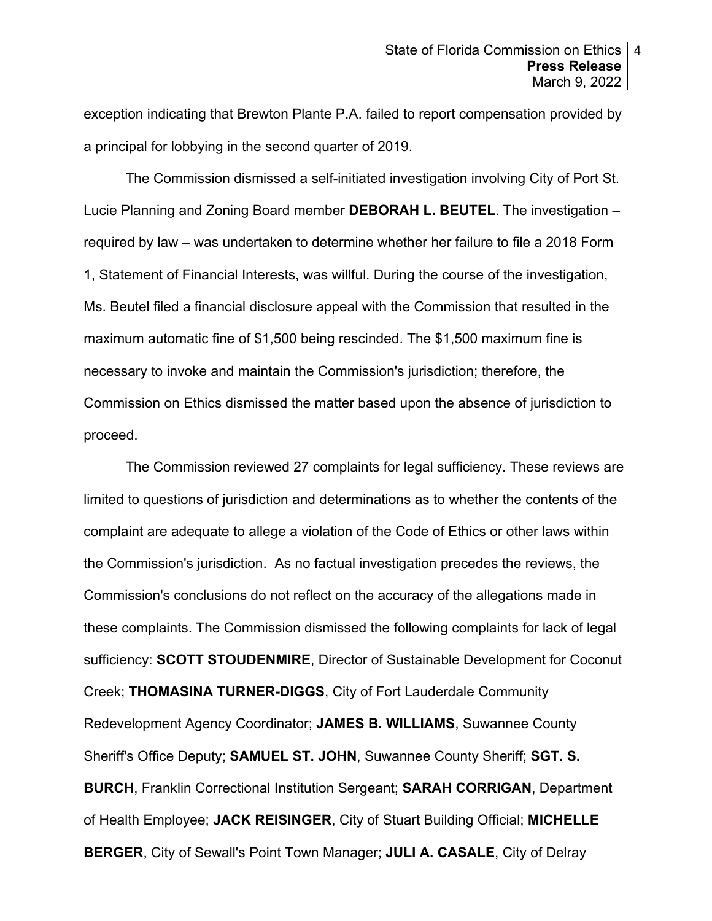exception indicating that Brewton Plante P.A. failed to report compensation provided by a principal for lobbying in the second quarter of 2019.

 The Commission dismissed a self-initiated investigation involving City of Port St. Lucie Planning and Zoning Board member **DEBORAH L. BEUTEL**. The investigation – required by law – was undertaken to determine whether her failure to file a 2018 Form 1, Statement of Financial Interests, was willful. During the course of the investigation, Ms. Beutel filed a financial disclosure appeal with the Commission that resulted in the maximum automatic fine of \$1,500 being rescinded. The \$1,500 maximum fine is necessary to invoke and maintain the Commission's jurisdiction; therefore, the Commission on Ethics dismissed the matter based upon the absence of jurisdiction to proceed.

The Commission reviewed 27 complaints for legal sufficiency. These reviews are limited to questions of jurisdiction and determinations as to whether the contents of the complaint are adequate to allege a violation of the Code of Ethics or other laws within the Commission's jurisdiction. As no factual investigation precedes the reviews, the Commission's conclusions do not reflect on the accuracy of the allegations made in these complaints. The Commission dismissed the following complaints for lack of legal sufficiency: **SCOTT STOUDENMIRE**, Director of Sustainable Development for Coconut Creek; **THOMASINA TURNER-DIGGS**, City of Fort Lauderdale Community Redevelopment Agency Coordinator; **JAMES B. WILLIAMS**, Suwannee County Sheriff's Office Deputy; **SAMUEL ST. JOHN**, Suwannee County Sheriff; **SGT. S. BURCH**, Franklin Correctional Institution Sergeant; **SARAH CORRIGAN**, Department of Health Employee; **JACK REISINGER**, City of Stuart Building Official; **MICHELLE BERGER**, City of Sewall's Point Town Manager; **JULI A. CASALE**, City of Delray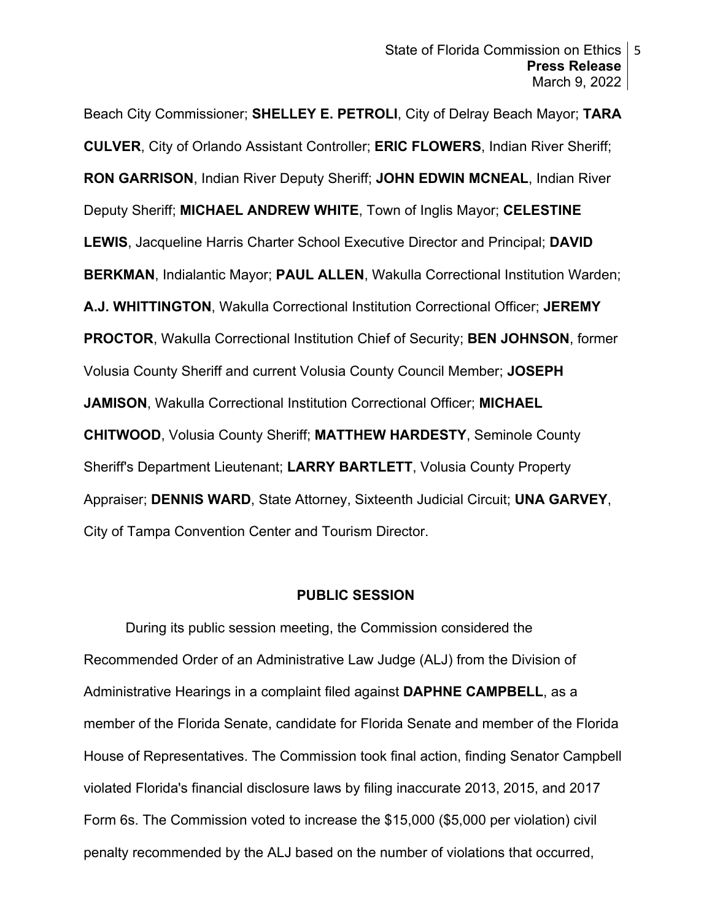Beach City Commissioner; **SHELLEY E. PETROLI**, City of Delray Beach Mayor; **TARA CULVER**, City of Orlando Assistant Controller; **ERIC FLOWERS**, Indian River Sheriff; **RON GARRISON**, Indian River Deputy Sheriff; **JOHN EDWIN MCNEAL**, Indian River Deputy Sheriff; **MICHAEL ANDREW WHITE**, Town of Inglis Mayor; **CELESTINE LEWIS**, Jacqueline Harris Charter School Executive Director and Principal; **DAVID BERKMAN**, Indialantic Mayor; **PAUL ALLEN**, Wakulla Correctional Institution Warden; **A.J. WHITTINGTON**, Wakulla Correctional Institution Correctional Officer; **JEREMY PROCTOR**, Wakulla Correctional Institution Chief of Security; **BEN JOHNSON**, former Volusia County Sheriff and current Volusia County Council Member; **JOSEPH JAMISON**, Wakulla Correctional Institution Correctional Officer; **MICHAEL CHITWOOD**, Volusia County Sheriff; **MATTHEW HARDESTY**, Seminole County Sheriff's Department Lieutenant; **LARRY BARTLETT**, Volusia County Property Appraiser; **DENNIS WARD**, State Attorney, Sixteenth Judicial Circuit; **UNA GARVEY**, City of Tampa Convention Center and Tourism Director.

## **PUBLIC SESSION**

During its public session meeting, the Commission considered the Recommended Order of an Administrative Law Judge (ALJ) from the Division of Administrative Hearings in a complaint filed against **DAPHNE CAMPBELL**, as a member of the Florida Senate, candidate for Florida Senate and member of the Florida House of Representatives. The Commission took final action, finding Senator Campbell violated Florida's financial disclosure laws by filing inaccurate 2013, 2015, and 2017 Form 6s. The Commission voted to increase the \$15,000 (\$5,000 per violation) civil penalty recommended by the ALJ based on the number of violations that occurred,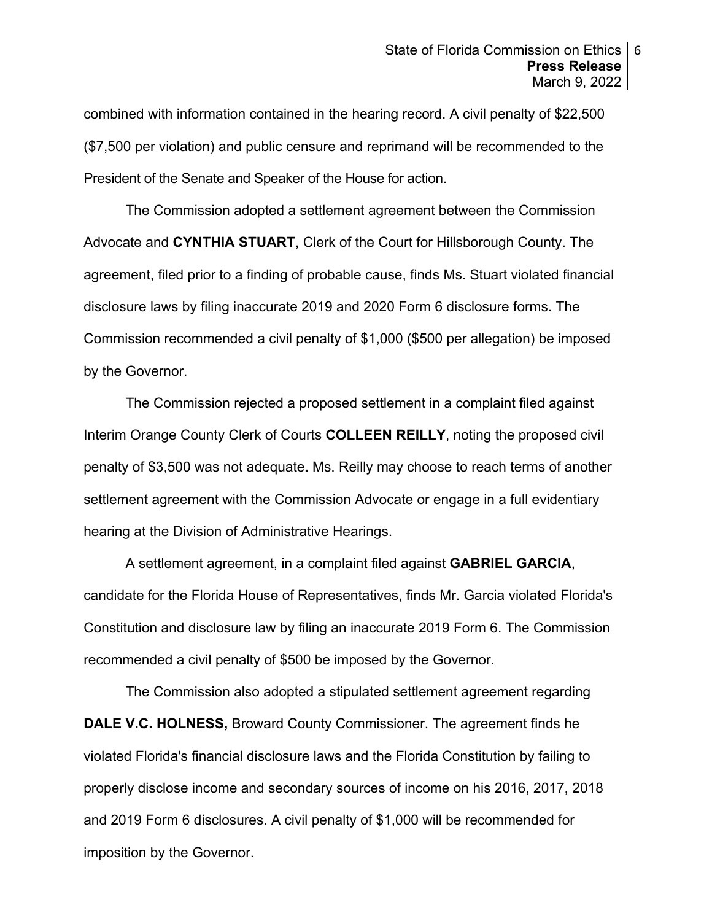combined with information contained in the hearing record. A civil penalty of \$22,500 (\$7,500 per violation) and public censure and reprimand will be recommended to the President of the Senate and Speaker of the House for action.

 The Commission adopted a settlement agreement between the Commission Advocate and **CYNTHIA STUART**, Clerk of the Court for Hillsborough County. The agreement, filed prior to a finding of probable cause, finds Ms. Stuart violated financial disclosure laws by filing inaccurate 2019 and 2020 Form 6 disclosure forms. The Commission recommended a civil penalty of \$1,000 (\$500 per allegation) be imposed by the Governor.

The Commission rejected a proposed settlement in a complaint filed against Interim Orange County Clerk of Courts **COLLEEN REILLY**, noting the proposed civil penalty of \$3,500 was not adequate**.** Ms. Reilly may choose to reach terms of another settlement agreement with the Commission Advocate or engage in a full evidentiary hearing at the Division of Administrative Hearings.

A settlement agreement, in a complaint filed against **GABRIEL GARCIA**, candidate for the Florida House of Representatives, finds Mr. Garcia violated Florida's Constitution and disclosure law by filing an inaccurate 2019 Form 6. The Commission recommended a civil penalty of \$500 be imposed by the Governor.

The Commission also adopted a stipulated settlement agreement regarding **DALE V.C. HOLNESS,** Broward County Commissioner. The agreement finds he violated Florida's financial disclosure laws and the Florida Constitution by failing to properly disclose income and secondary sources of income on his 2016, 2017, 2018 and 2019 Form 6 disclosures. A civil penalty of \$1,000 will be recommended for imposition by the Governor.